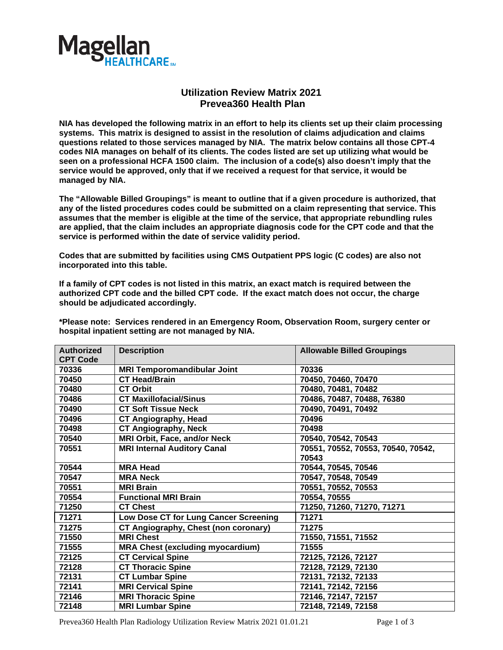

## **Utilization Review Matrix 2021 Prevea360 Health Plan**

**NIA has developed the following matrix in an effort to help its clients set up their claim processing systems. This matrix is designed to assist in the resolution of claims adjudication and claims questions related to those services managed by NIA. The matrix below contains all those CPT-4 codes NIA manages on behalf of its clients. The codes listed are set up utilizing what would be seen on a professional HCFA 1500 claim. The inclusion of a code(s) also doesn't imply that the service would be approved, only that if we received a request for that service, it would be managed by NIA.** 

**The "Allowable Billed Groupings" is meant to outline that if a given procedure is authorized, that any of the listed procedures codes could be submitted on a claim representing that service. This assumes that the member is eligible at the time of the service, that appropriate rebundling rules are applied, that the claim includes an appropriate diagnosis code for the CPT code and that the service is performed within the date of service validity period.**

**Codes that are submitted by facilities using CMS Outpatient PPS logic (C codes) are also not incorporated into this table.**

**If a family of CPT codes is not listed in this matrix, an exact match is required between the authorized CPT code and the billed CPT code. If the exact match does not occur, the charge should be adjudicated accordingly.**

**\*Please note: Services rendered in an Emergency Room, Observation Room, surgery center or hospital inpatient setting are not managed by NIA.**

| <b>Authorized</b><br><b>CPT Code</b> | <b>Description</b>                      | <b>Allowable Billed Groupings</b>  |
|--------------------------------------|-----------------------------------------|------------------------------------|
| 70336                                | <b>MRI Temporomandibular Joint</b>      | 70336                              |
| 70450                                | <b>CT Head/Brain</b>                    | 70450, 70460, 70470                |
| 70480                                | <b>CT Orbit</b>                         | 70480, 70481, 70482                |
| 70486                                | <b>CT Maxillofacial/Sinus</b>           | 70486, 70487, 70488, 76380         |
| 70490                                | <b>CT Soft Tissue Neck</b>              | 70490, 70491, 70492                |
| 70496                                | <b>CT Angiography, Head</b>             | 70496                              |
| 70498                                | <b>CT Angiography, Neck</b>             | 70498                              |
| 70540                                | <b>MRI Orbit, Face, and/or Neck</b>     | 70540, 70542, 70543                |
| 70551                                | <b>MRI Internal Auditory Canal</b>      | 70551, 70552, 70553, 70540, 70542, |
|                                      |                                         | 70543                              |
| 70544                                | <b>MRA Head</b>                         | 70544, 70545, 70546                |
| 70547                                | <b>MRA Neck</b>                         | 70547, 70548, 70549                |
| 70551                                | <b>MRI Brain</b>                        | 70551, 70552, 70553                |
| 70554                                | <b>Functional MRI Brain</b>             | 70554, 70555                       |
| 71250                                | <b>CT Chest</b>                         | 71250, 71260, 71270, 71271         |
| 71271                                | Low Dose CT for Lung Cancer Screening   | 71271                              |
| 71275                                | CT Angiography, Chest (non coronary)    | 71275                              |
| 71550                                | <b>MRI Chest</b>                        | 71550, 71551, 71552                |
| 71555                                | <b>MRA Chest (excluding myocardium)</b> | 71555                              |
| 72125                                | <b>CT Cervical Spine</b>                | 72125, 72126, 72127                |
| 72128                                | <b>CT Thoracic Spine</b>                | 72128, 72129, 72130                |
| 72131                                | <b>CT Lumbar Spine</b>                  | 72131, 72132, 72133                |
| 72141                                | <b>MRI Cervical Spine</b>               | 72141, 72142, 72156                |
| 72146                                | <b>MRI Thoracic Spine</b>               | 72146, 72147, 72157                |
| 72148                                | <b>MRI Lumbar Spine</b>                 | 72148, 72149, 72158                |

Prevea360 Health Plan Radiology Utilization Review Matrix 2021 01.01.21 Page 1 of 3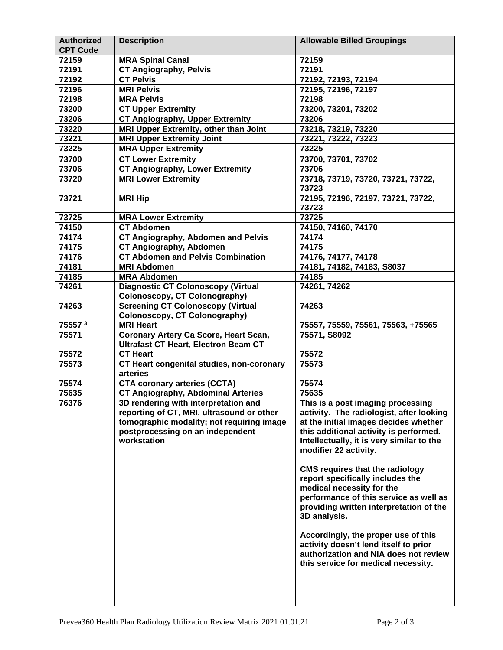| <b>Authorized</b><br><b>CPT Code</b> | <b>Description</b>                          | <b>Allowable Billed Groupings</b>           |
|--------------------------------------|---------------------------------------------|---------------------------------------------|
| 72159                                | <b>MRA Spinal Canal</b>                     | 72159                                       |
| 72191                                | <b>CT Angiography, Pelvis</b>               | 72191                                       |
| 72192                                | <b>CT Pelvis</b>                            | 72192, 72193, 72194                         |
| 72196                                | <b>MRI Pelvis</b>                           | 72195, 72196, 72197                         |
| 72198                                | <b>MRA Pelvis</b>                           | 72198                                       |
| 73200                                | <b>CT Upper Extremity</b>                   | 73200, 73201, 73202                         |
| 73206                                | <b>CT Angiography, Upper Extremity</b>      | 73206                                       |
| 73220                                | MRI Upper Extremity, other than Joint       | 73218, 73219, 73220                         |
| 73221                                | <b>MRI Upper Extremity Joint</b>            | 73221, 73222, 73223                         |
| 73225                                | <b>MRA Upper Extremity</b>                  | 73225                                       |
| 73700                                | <b>CT Lower Extremity</b>                   | 73700, 73701, 73702                         |
| 73706                                | <b>CT Angiography, Lower Extremity</b>      | 73706                                       |
| 73720                                | <b>MRI Lower Extremity</b>                  | 73718, 73719, 73720, 73721, 73722,<br>73723 |
| 73721                                | <b>MRI Hip</b>                              | 72195, 72196, 72197, 73721, 73722,<br>73723 |
| 73725                                | <b>MRA Lower Extremity</b>                  | 73725                                       |
| 74150                                | <b>CT Abdomen</b>                           | 74150, 74160, 74170                         |
| 74174                                | <b>CT Angiography, Abdomen and Pelvis</b>   | 74174                                       |
| 74175                                | <b>CT Angiography, Abdomen</b>              | 74175                                       |
| 74176                                | <b>CT Abdomen and Pelvis Combination</b>    | 74176, 74177, 74178                         |
| 74181                                | <b>MRI Abdomen</b>                          | 74181, 74182, 74183, S8037                  |
| 74185                                | <b>MRA Abdomen</b>                          | 74185                                       |
| 74261                                | <b>Diagnostic CT Colonoscopy (Virtual</b>   | 74261, 74262                                |
|                                      | <b>Colonoscopy, CT Colonography)</b>        |                                             |
| 74263                                | <b>Screening CT Colonoscopy (Virtual</b>    | 74263                                       |
|                                      | Colonoscopy, CT Colonography)               |                                             |
| 75557 <sup>3</sup>                   | <b>MRI Heart</b>                            | 75557, 75559, 75561, 75563, +75565          |
| 75571                                | Coronary Artery Ca Score, Heart Scan,       | 75571, S8092                                |
|                                      | <b>Ultrafast CT Heart, Electron Beam CT</b> |                                             |
| 75572                                | <b>CT Heart</b>                             | 75572                                       |
| 75573                                | CT Heart congenital studies, non-coronary   | 75573                                       |
|                                      | arteries                                    |                                             |
| 75574                                | <b>CTA coronary arteries (CCTA)</b>         | 75574                                       |
| 75635                                | <b>CT Angiography, Abdominal Arteries</b>   | 75635                                       |
| 76376                                | 3D rendering with interpretation and        | This is a post imaging processing           |
|                                      | reporting of CT, MRI, ultrasound or other   | activity. The radiologist, after looking    |
|                                      | tomographic modality; not requiring image   | at the initial images decides whether       |
|                                      | postprocessing on an independent            | this additional activity is performed.      |
|                                      | workstation                                 | Intellectually, it is very similar to the   |
|                                      |                                             | modifier 22 activity.                       |
|                                      |                                             |                                             |
|                                      |                                             | <b>CMS requires that the radiology</b>      |
|                                      |                                             | report specifically includes the            |
|                                      |                                             | medical necessity for the                   |
|                                      |                                             | performance of this service as well as      |
|                                      |                                             | providing written interpretation of the     |
|                                      |                                             | 3D analysis.                                |
|                                      |                                             | Accordingly, the proper use of this         |
|                                      |                                             | activity doesn't lend itself to prior       |
|                                      |                                             | authorization and NIA does not review       |
|                                      |                                             | this service for medical necessity.         |
|                                      |                                             |                                             |
|                                      |                                             |                                             |
|                                      |                                             |                                             |
|                                      |                                             |                                             |